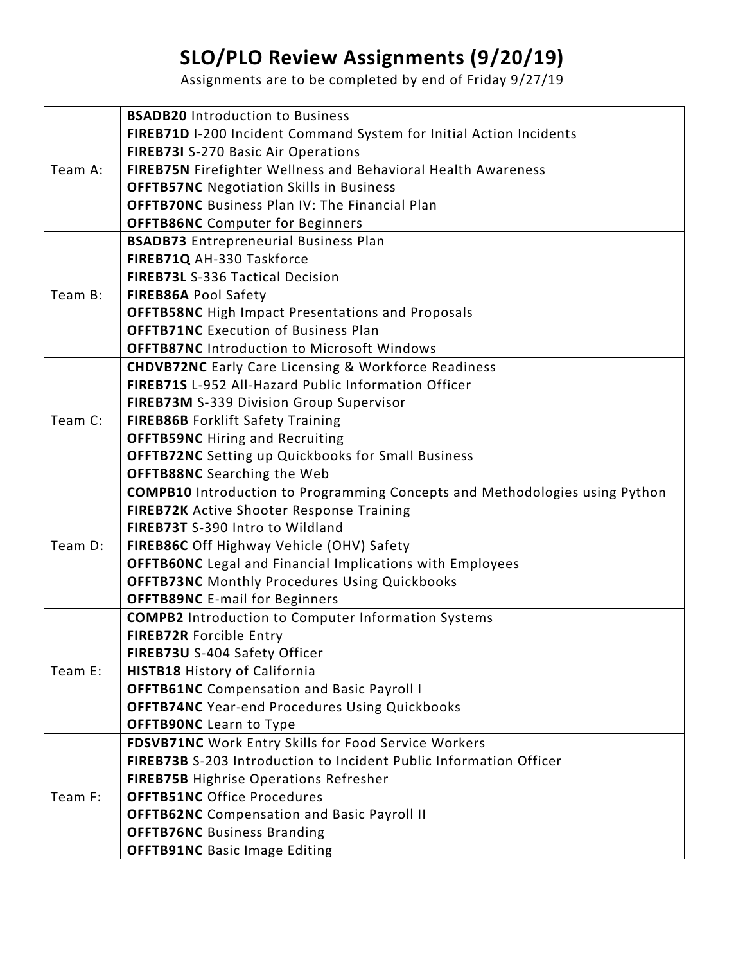## **SLO/PLO Review Assignments (9/20/19)**

Assignments are to be completed by end of Friday 9/27/19

| Team A: | <b>BSADB20</b> Introduction to Business                                            |
|---------|------------------------------------------------------------------------------------|
|         | FIREB71D I-200 Incident Command System for Initial Action Incidents                |
|         | FIREB73I S-270 Basic Air Operations                                                |
|         | FIREB75N Firefighter Wellness and Behavioral Health Awareness                      |
|         | <b>OFFTB57NC</b> Negotiation Skills in Business                                    |
|         | <b>OFFTB70NC</b> Business Plan IV: The Financial Plan                              |
|         | <b>OFFTB86NC</b> Computer for Beginners                                            |
| Team B: | <b>BSADB73</b> Entrepreneurial Business Plan                                       |
|         | FIREB71Q AH-330 Taskforce                                                          |
|         | FIREB73L S-336 Tactical Decision                                                   |
|         | <b>FIREB86A Pool Safety</b>                                                        |
|         | <b>OFFTB58NC</b> High Impact Presentations and Proposals                           |
|         | <b>OFFTB71NC</b> Execution of Business Plan                                        |
|         | <b>OFFTB87NC</b> Introduction to Microsoft Windows                                 |
| Team C: | <b>CHDVB72NC</b> Early Care Licensing & Workforce Readiness                        |
|         | <b>FIREB71S L-952 All-Hazard Public Information Officer</b>                        |
|         | FIREB73M S-339 Division Group Supervisor                                           |
|         | <b>FIREB86B Forklift Safety Training</b>                                           |
|         | <b>OFFTB59NC</b> Hiring and Recruiting                                             |
|         | <b>OFFTB72NC</b> Setting up Quickbooks for Small Business                          |
|         | <b>OFFTB88NC</b> Searching the Web                                                 |
| Team D: | <b>COMPB10</b> Introduction to Programming Concepts and Methodologies using Python |
|         | FIREB72K Active Shooter Response Training                                          |
|         | FIREB73T S-390 Intro to Wildland                                                   |
|         | FIREB86C Off Highway Vehicle (OHV) Safety                                          |
|         | <b>OFFTB60NC</b> Legal and Financial Implications with Employees                   |
|         | <b>OFFTB73NC</b> Monthly Procedures Using Quickbooks                               |
|         | <b>OFFTB89NC</b> E-mail for Beginners                                              |
| Team E: | <b>COMPB2</b> Introduction to Computer Information Systems                         |
|         | FIREB72R Forcible Entry                                                            |
|         | FIREB73U S-404 Safety Officer                                                      |
|         | <b>HISTB18 History of California</b>                                               |
|         | <b>OFFTB61NC</b> Compensation and Basic Payroll I                                  |
|         | <b>OFFTB74NC</b> Year-end Procedures Using Quickbooks                              |
|         | <b>OFFTB90NC</b> Learn to Type                                                     |
| Team F: | FDSVB71NC Work Entry Skills for Food Service Workers                               |
|         | FIREB73B S-203 Introduction to Incident Public Information Officer                 |
|         | <b>FIREB75B Highrise Operations Refresher</b>                                      |
|         | <b>OFFTB51NC Office Procedures</b>                                                 |
|         | <b>OFFTB62NC</b> Compensation and Basic Payroll II                                 |
|         |                                                                                    |
|         | <b>OFFTB76NC</b> Business Branding                                                 |